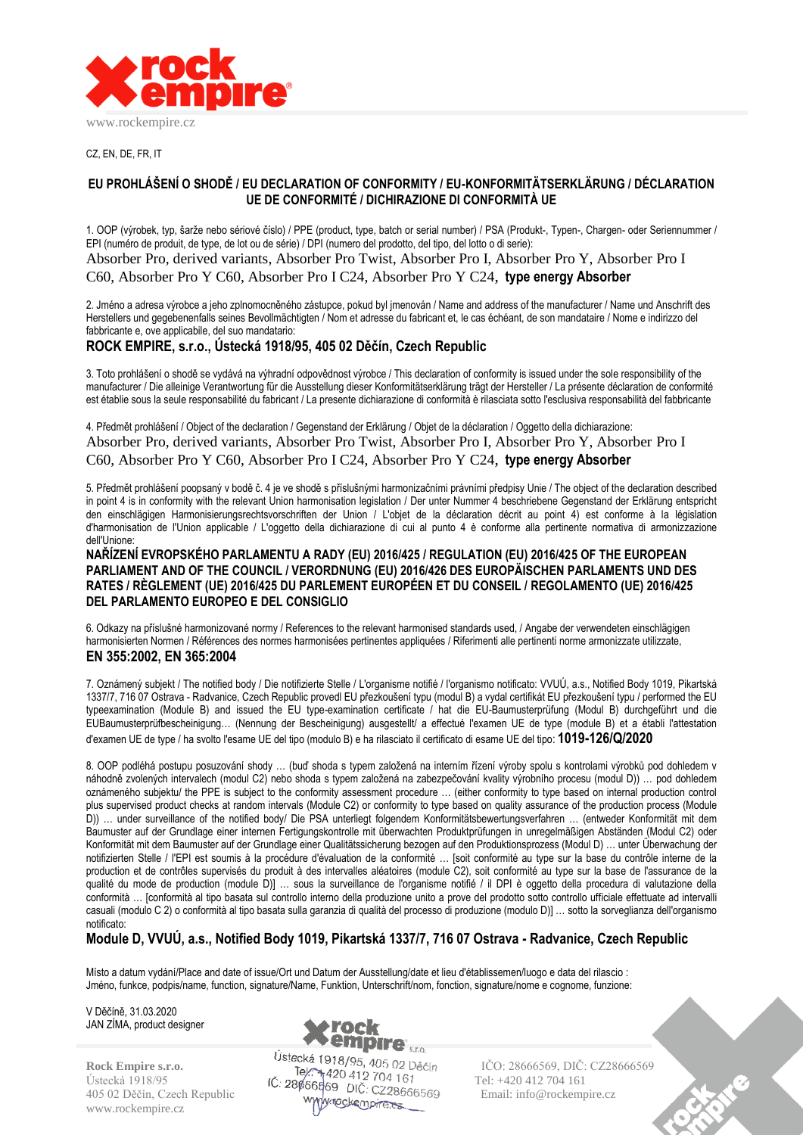

CZ, EN, DE, FR, IT

## **EU PROHLÁŠENÍ O SHODĚ / EU DECLARATION OF CONFORMITY / EU-KONFORMITÄTSERKLÄRUNG / DÉCLARATION UE DE CONFORMITÉ / DICHIRAZIONE DI CONFORMITÀ UE**

1. OOP (výrobek, typ, šarže nebo sériové číslo) / PPE (product, type, batch or serial number) / PSA (Produkt-, Typen-, Chargen- oder Seriennummer / EPI (numéro de produit, de type, de lot ou de série) / DPI (numero del prodotto, del tipo, del lotto o di serie): Absorber Pro, derived variants, Absorber Pro Twist, Absorber Pro I, Absorber Pro Y, Absorber Pro I

C60, Absorber Pro Y C60, Absorber Pro I C24, Absorber Pro Y C24, **type energy Absorber**

2. Jméno a adresa výrobce a jeho zplnomocněného zástupce, pokud byl jmenován / Name and address of the manufacturer / Name und Anschrift des Herstellers und gegebenenfalls seines Bevollmächtigten / Nom et adresse du fabricant et, le cas échéant, de son mandataire / Nome e indirizzo del fabbricante e, ove applicabile, del suo mandatario:

## **ROCK EMPIRE, s.r.o., Ústecká 1918/95, 405 02 Děčín, Czech Republic**

3. Toto prohlášení o shodě se vydává na výhradní odpovědnost výrobce / This declaration of conformity is issued under the sole responsibility of the manufacturer / Die alleinige Verantwortung für die Ausstellung dieser Konformitätserklärung trägt der Hersteller / La présente déclaration de conformité est établie sous la seule responsabilité du fabricant / La presente dichiarazione di conformità è rilasciata sotto l'esclusiva responsabilità del fabbricante

4. Předmět prohlášení / Object of the declaration / Gegenstand der Erklärung / Objet de la déclaration / Oggetto della dichiarazione: Absorber Pro, derived variants, Absorber Pro Twist, Absorber Pro I, Absorber Pro Y, Absorber Pro I C60, Absorber Pro Y C60, Absorber Pro I C24, Absorber Pro Y C24, **type energy Absorber**

5. Předmět prohlášení poopsaný v bodě č. 4 je ve shodě s příslušnými harmonizačními právními předpisy Unie / The object of the declaration described in point 4 is in conformity with the relevant Union harmonisation legislation / Der unter Nummer 4 beschriebene Gegenstand der Erklärung entspricht den einschlägigen Harmonisierungsrechtsvorschriften der Union / L'objet de la déclaration décrit au point 4) est conforme à la législation d'harmonisation de l'Union applicable / L'oggetto della dichiarazione di cui al punto 4 è conforme alla pertinente normativa di armonizzazione dell'Unione:

**NAŘÍZENÍ EVROPSKÉHO PARLAMENTU A RADY (EU) 2016/425 / REGULATION (EU) 2016/425 OF THE EUROPEAN PARLIAMENT AND OF THE COUNCIL / VERORDNUNG (EU) 2016/426 DES EUROPÄISCHEN PARLAMENTS UND DES RATES / RÈGLEMENT (UE) 2016/425 DU PARLEMENT EUROPÉEN ET DU CONSEIL / REGOLAMENTO (UE) 2016/425 DEL PARLAMENTO EUROPEO E DEL CONSIGLIO**

6. Odkazy na příslušné harmonizované normy / References to the relevant harmonised standards used, / Angabe der verwendeten einschlägigen harmonisierten Normen / Références des normes harmonisées pertinentes appliquées / Riferimenti alle pertinenti norme armonizzate utilizzate, **EN 355:2002, EN 365:2004**

7. Oznámený subjekt / The notified body / Die notifizierte Stelle / L'organisme notifié / l'organismo notificato: VVUÚ, a.s., Notified Body 1019, Pikartská 1337/7, 716 07 Ostrava - Radvanice, Czech Republic provedl EU přezkoušení typu (modul B) a vydal certifikát EU přezkoušení typu / performed the EU typeexamination (Module B) and issued the EU type-examination certificate / hat die EU-Baumusterprüfung (Modul B) durchgeführt und die EUBaumusterprüfbescheinigung… (Nennung der Bescheinigung) ausgestellt/ a effectué l'examen UE de type (module B) et a établi l'attestation d'examen UE de type / ha svolto l'esame UE del tipo (modulo B) e ha rilasciato il certificato di esame UE del tipo: **1019-126/Q/2020**

8. OOP podléhá postupu posuzování shody … (buď shoda s typem založená na interním řízení výroby spolu s kontrolami výrobků pod dohledem v náhodně zvolených intervalech (modul C2) nebo shoda s typem založená na zabezpečování kvality výrobního procesu (modul D)) … pod dohledem oznámeného subjektu/ the PPE is subject to the conformity assessment procedure … (either conformity to type based on internal production control plus supervised product checks at random intervals (Module C2) or conformity to type based on quality assurance of the production process (Module D)) … under surveillance of the notified body/ Die PSA unterliegt folgendem Konformitätsbewertungsverfahren … (entweder Konformität mit dem Baumuster auf der Grundlage einer internen Fertigungskontrolle mit überwachten Produktprüfungen in unregelmäßigen Abständen (Modul C2) oder Konformität mit dem Baumuster auf der Grundlage einer Qualitätssicherung bezogen auf den Produktionsprozess (Modul D) … unter Überwachung der notifizierten Stelle / l'EPI est soumis à la procédure d'évaluation de la conformité ... [soit conformité au type sur la base du contrôle interne de la production et de contrôles supervisés du produit à des intervalles aléatoires (module C2), soit conformité au type sur la base de l'assurance de la qualité du mode de production (module D)] … sous la surveillance de l'organisme notifié / il DPI è oggetto della procedura di valutazione della conformità … [conformità al tipo basata sul controllo interno della produzione unito a prove del prodotto sotto controllo ufficiale effettuate ad intervalli casuali (modulo C 2) o conformità al tipo basata sulla garanzia di qualità del processo di produzione (modulo D)] … sotto la sorveglianza dell'organismo notificato:

# **Module D, VVUÚ, a.s., Notified Body 1019, Pikartská 1337/7, 716 07 Ostrava - Radvanice, Czech Republic**

Místo a datum vydání/Place and date of issue/Ort und Datum der Ausstellung/date et lieu d'établissemen/luogo e data del rilascio : Jméno, funkce, podpis/name, function, signature/Name, Funktion, Unterschrift/nom, fonction, signature/nome e cognome, funzione:

V Děčíně, 31.03.2020 JAN ZÍMA, product designer

www.rockempire.cz



Ustecká 1918/95  $\overrightarrow{C}$ :  $\overrightarrow{286666489}$   $\overrightarrow{12}$   $\overrightarrow{2}$   $\overrightarrow{2}$   $\overrightarrow{2}$   $\overrightarrow{2}$  Tel: +420 412 704 161 405 02 Děčín, Czech Republic Email: info@rockempire.cz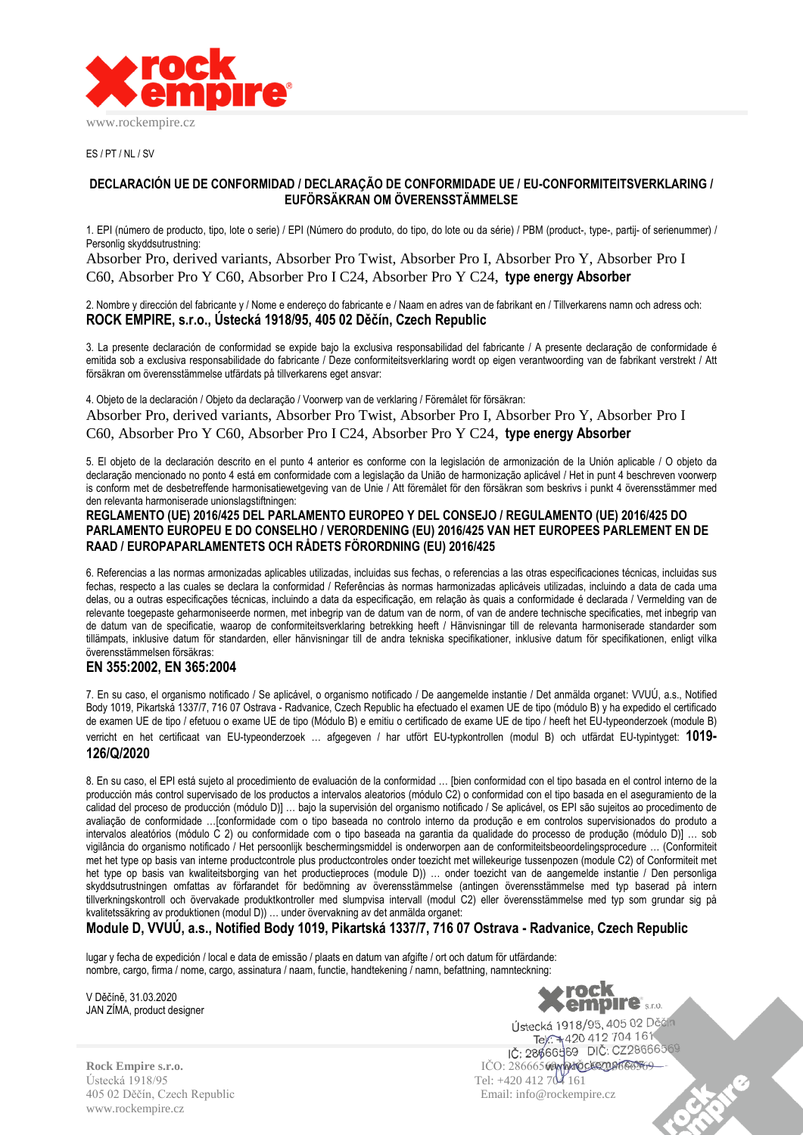

ES / PT / NL / SV

#### **DECLARACIÓN UE DE CONFORMIDAD / DECLARAÇÃO DE CONFORMIDADE UE / EU-CONFORMITEITSVERKLARING / EUFÖRSÄKRAN OM ÖVERENSSTÄMMELSE**

1. EPI (número de producto, tipo, lote o serie) / EPI (Número do produto, do tipo, do lote ou da série) / PBM (product-, type-, partij- of serienummer) / Personlig skyddsutrustning:

Absorber Pro, derived variants, Absorber Pro Twist, Absorber Pro I, Absorber Pro Y, Absorber Pro I C60, Absorber Pro Y C60, Absorber Pro I C24, Absorber Pro Y C24, **type energy Absorber**

2. Nombre y dirección del fabricante y / Nome e endereço do fabricante e / Naam en adres van de fabrikant en / Tillverkarens namn och adress och: **ROCK EMPIRE, s.r.o., Ústecká 1918/95, 405 02 Děčín, Czech Republic**

3. La presente declaración de conformidad se expide bajo la exclusiva responsabilidad del fabricante / A presente declaração de conformidade é emitida sob a exclusiva responsabilidade do fabricante / Deze conformiteitsverklaring wordt op eigen verantwoording van de fabrikant verstrekt / Att försäkran om överensstämmelse utfärdats på tillverkarens eget ansvar:

4. Objeto de la declaración / Objeto da declaração / Voorwerp van de verklaring / Föremålet för försäkran: Absorber Pro, derived variants, Absorber Pro Twist, Absorber Pro I, Absorber Pro Y, Absorber Pro I C60, Absorber Pro Y C60, Absorber Pro I C24, Absorber Pro Y C24, **type energy Absorber**

5. El objeto de la declaración descrito en el punto 4 anterior es conforme con la legislación de armonización de la Unión aplicable / O objeto da declaração mencionado no ponto 4 está em conformidade com a legislação da União de harmonização aplicável / Het in punt 4 beschreven voorwerp is conform met de desbetreffende harmonisatiewetgeving van de Unie / Att föremålet för den försäkran som beskrivs i punkt 4 överensstämmer med den relevanta harmoniserade unionslagstiftningen:

#### **REGLAMENTO (UE) 2016/425 DEL PARLAMENTO EUROPEO Y DEL CONSEJO / REGULAMENTO (UE) 2016/425 DO PARLAMENTO EUROPEU E DO CONSELHO / VERORDENING (EU) 2016/425 VAN HET EUROPEES PARLEMENT EN DE RAAD / EUROPAPARLAMENTETS OCH RÅDETS FÖRORDNING (EU) 2016/425**

6. Referencias a las normas armonizadas aplicables utilizadas, incluidas sus fechas, o referencias a las otras especificaciones técnicas, incluidas sus fechas, respecto a las cuales se declara la conformidad / Referências às normas harmonizadas aplicáveis utilizadas, incluindo a data de cada uma delas, ou a outras especificações técnicas, incluindo a data da especificação, em relação às quais a conformidade é declarada / Vermelding van de relevante toegepaste geharmoniseerde normen, met inbegrip van de datum van de norm, of van de andere technische specificaties, met inbegrip van de datum van de specificatie, waarop de conformiteitsverklaring betrekking heeft / Hänvisningar till de relevanta harmoniserade standarder som tillämpats, inklusive datum för standarden, eller hänvisningar till de andra tekniska specifikationer, inklusive datum för specifikationen, enligt vilka överensstämmelsen försäkras:

## **EN 355:2002, EN 365:2004**

7. En su caso, el organismo notificado / Se aplicável, o organismo notificado / De aangemelde instantie / Det anmälda organet: VVUÚ, a.s., Notified Body 1019, Pikartská 1337/7, 716 07 Ostrava - Radvanice, Czech Republic ha efectuado el examen UE de tipo (módulo B) y ha expedido el certificado de examen UE de tipo / efetuou o exame UE de tipo (Módulo B) e emitiu o certificado de exame UE de tipo / heeft het EU-typeonderzoek (module B)

verricht en het certificaat van EU-typeonderzoek … afgegeven / har utfört EU-typkontrollen (modul B) och utfärdat EU-typintyget: **1019- 126/Q/2020**

8. En su caso, el EPI está sujeto al procedimiento de evaluación de la conformidad … [bien conformidad con el tipo basada en el control interno de la producción más control supervisado de los productos a intervalos aleatorios (módulo C2) o conformidad con el tipo basada en el aseguramiento de la calidad del proceso de producción (módulo D)] … bajo la supervisión del organismo notificado / Se aplicável, os EPI são sujeitos ao procedimento de avaliação de conformidade …[conformidade com o tipo baseada no controlo interno da produção e em controlos supervisionados do produto a intervalos aleatórios (módulo C 2) ou conformidade com o tipo baseada na garantia da qualidade do processo de produção (módulo D)] … sob vigilância do organismo notificado / Het persoonlijk beschermingsmiddel is onderworpen aan de conformiteitsbeoordelingsprocedure … (Conformiteit met het type op basis van interne productcontrole plus productcontroles onder toezicht met willekeurige tussenpozen (module C2) of Conformiteit met het type op basis van kwaliteitsborging van het productieproces (module D)) … onder toezicht van de aangemelde instantie / Den personliga skyddsutrustningen omfattas av förfarandet för bedömning av överensstämmelse (antingen överensstämmelse med typ baserad på intern tillverkningskontroll och övervakade produktkontroller med slumpvisa intervall (modul C2) eller överensstämmelse med typ som grundar sig på kvalitetssäkring av produktionen (modul D)) … under övervakning av det anmälda organet:

**Module D, VVUÚ, a.s., Notified Body 1019, Pikartská 1337/7, 716 07 Ostrava - Radvanice, Czech Republic**

lugar y fecha de expedición / local e data de emissão / plaats en datum van afgifte / ort och datum för utfärdande: nombre, cargo, firma / nome, cargo, assinatura / naam, functie, handtekening / namn, befattning, namnteckning:

V Děčíně, 31.03.2020 JAN ZÍMA, product designer



C

Ústecká 1918/95 Tel: +420 412 704 161 405 02 Děčín, Czech Republic Email: info@rockempire.cz www.rockempire.cz

Tel: +420 412 704 161<br>Tel: +420 412 704 161 **Rock Empire s.r.o.** IČO: 28666569, DIČ: CZ28666569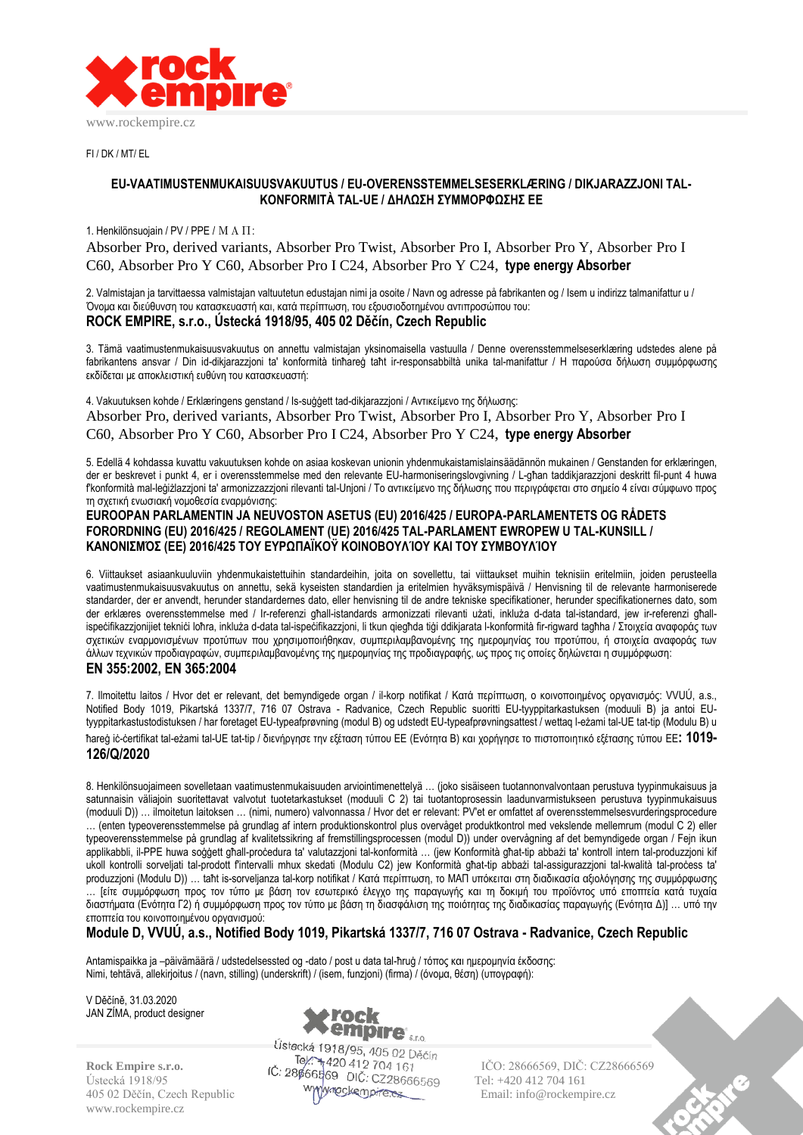

FI / DK / MT/ EL

## **EU-VAATIMUSTENMUKAISUUSVAKUUTUS / EU-OVERENSSTEMMELSESERKLÆRING / DIKJARAZZJONI TAL-KONFORMITÀ TAL-UE / ΔΗΛΩΣΗ ΣΥΜΜΟΡΦΩΣΗΣ ΕΕ**

#### 1. Henkilönsuojain / PV / PPE / ΜΑΠ:

Absorber Pro, derived variants, Absorber Pro Twist, Absorber Pro I, Absorber Pro Y, Absorber Pro I C60, Absorber Pro Y C60, Absorber Pro I C24, Absorber Pro Y C24, **type energy Absorber**

2. Valmistajan ja tarvittaessa valmistajan valtuutetun edustajan nimi ja osoite / Navn og adresse på fabrikanten og / Isem u indirizz talmanifattur u / Όνομα και διεύθυνση του κατασκευαστή και, κατά περίπτωση, του εξουσιοδοτημένου αντιπροσώπου του: **ROCK EMPIRE, s.r.o., Ústecká 1918/95, 405 02 Děčín, Czech Republic**

3. Tämä vaatimustenmukaisuusvakuutus on annettu valmistajan yksinomaisella vastuulla / Denne overensstemmelseserklæring udstedes alene på fabrikantens ansvar / Din id-dikjarazzjoni ta' konformità tinħareġ taħt ir-responsabbiltà unika tal-manifattur / Η παρούσα δήλωση συμμόρφωσης εκδίδεται με αποκλειστική ευθύνη του κατασκευαστή:

4. Vakuutuksen kohde / Erklæringens genstand / Is-suġġett tad-dikjarazzjoni / Αντικείμενο της δήλωσης: Absorber Pro, derived variants, Absorber Pro Twist, Absorber Pro I, Absorber Pro Y, Absorber Pro I C60, Absorber Pro Y C60, Absorber Pro I C24, Absorber Pro Y C24, **type energy Absorber**

5. Edellä 4 kohdassa kuvattu vakuutuksen kohde on asiaa koskevan unionin yhdenmukaistamislainsäädännön mukainen / Genstanden for erklæringen, der er beskrevet i punkt 4, er i overensstemmelse med den relevante EU-harmoniseringslovgivning / L-għan taddikjarazzjoni deskritt fil-punt 4 huwa f'konformità mal-leġiżlazzjoni ta' armonizzazzjoni rilevanti tal-Unjoni / Το αντικείμενο της δήλωσης που περιγράφεται στο σημείο 4 είναι σύμφωνο προς τη σχετική ενωσιακή νομοθεσία εναρμόνισης:

#### **EUROOPAN PARLAMENTIN JA NEUVOSTON ASETUS (EU) 2016/425 / EUROPA-PARLAMENTETS OG RÅDETS FORORDNING (EU) 2016/425 / REGOLAMENT (UE) 2016/425 TAL-PARLAMENT EWROPEW U TAL-KUNSILL / ΚΑΝΟΝΙΣΜΌΣ (ΕΕ) 2016/425 ΤΟΥ ΕΥΡΩΠΑΪΚΟΫ ΚΟΙΝΟΒΟΥΛΊΟΥ ΚΑΙ ΤΟΥ ΣΥΜΒΟΥΛΊΟΥ**

6. Viittaukset asiaankuuluviin yhdenmukaistettuihin standardeihin, joita on sovellettu, tai viittaukset muihin teknisiin eritelmiin, joiden perusteella vaatimustenmukaisuusvakuutus on annettu, sekä kyseisten standardien ja eritelmien hyväksymispäivä / Henvisning til de relevante harmoniserede standarder, der er anvendt, herunder standardernes dato, eller henvisning til de andre tekniske specifikationer, herunder specifikationernes dato, som der erklæres overensstemmelse med / Ir-referenzi għall-istandards armonizzati rilevanti użati, inkluża d-data tal-istandard, jew ir-referenzi għallispeċifikazzjonijiet tekniċi loħra, inkluża d-data tal-ispeċifikazzjoni, li tkun qiegħda tiġi ddikjarata l-konformità fir-rigward tagħha / Στοιχεία αναφοράς των σχετικών εναρμονισμένων προτύπων που χρησιμοποιήθηκαν, συμπεριλαμβανομένης της ημερομηνίας του προτύπου, ή στοιχεία αναφοράς των άλλων τεχνικών προδιαγραφών, συμπεριλαμβανομένης της ημερομηνίας της προδιαγραφής, ως προς τις οποίες δηλώνεται η συμμόρφωση: **EN 355:2002, EN 365:2004**

7. Ilmoitettu laitos / Hvor det er relevant, det bemyndigede organ / il-korp notifikat / Κατά περίπτωση, ο κοινοποιημένος οργανισμός: VVUÚ, a.s., Notified Body 1019, Pikartská 1337/7, 716 07 Ostrava - Radvanice, Czech Republic suoritti EU-tyyppitarkastuksen (moduuli B) ja antoi EUtyyppitarkastustodistuksen / har foretaget EU-typeafprøvning (modul B) og udstedt EU-typeafprøvningsattest / wettaq l-eżami tal-UE tat-tip (Modulu B) u ħareġ iċ-ċertifikat tal-eżami tal-UE tat-tip / διενήργησε την εξέταση τύπου ΕΕ (Ενότητα B) και χορήγησε το πιστοποιητικό εξέτασης τύπου ΕΕ**: 1019- 126/Q/2020**

8. Henkilönsuojaimeen sovelletaan vaatimustenmukaisuuden arviointimenettelyä … (joko sisäiseen tuotannonvalvontaan perustuva tyypinmukaisuus ja satunnaisin väliajoin suoritettavat valvotut tuotetarkastukset (moduuli C 2) tai tuotantoprosessin laadunvarmistukseen perustuva tyypinmukaisuus (moduuli D)) … ilmoitetun laitoksen … (nimi, numero) valvonnassa / Hvor det er relevant: PV'et er omfattet af overensstemmelsesvurderingsprocedure … (enten typeoverensstemmelse på grundlag af intern produktionskontrol plus overvåget produktkontrol med vekslende mellemrum (modul C 2) eller typeoverensstemmelse på grundlag af kvalitetssikring af fremstillingsprocessen (modul D)) under overvågning af det bemyndigede organ / Fejn ikun applikabbli, il-PPE huwa soġġett għall-proċedura ta' valutazzjoni tal-konformità … (jew Konformità għat-tip abbażi ta' kontroll intern tal-produzzjoni kif ukoll kontrolli sorveljati tal-prodott f'intervalli mhux skedati (Modulu C2) jew Konformità għat-tip abbażi tal-assigurazzjoni tal-kwalità tal-proċess ta' produzzjoni (Modulu D)) … taħt is-sorveljanza tal-korp notifikat / Κατά περίπτωση, το ΜΑΠ υπόκειται στη διαδικασία αξιολόγησης της συμμόρφωσης … [είτε συμμόρφωση προς τον τύπο με βάση τον εσωτερικό έλεγχο της παραγωγής και τη δοκιμή του προϊόντος υπό εποπτεία κατά τυχαία διαστήματα (Ενότητα Γ2) ή συμμόρφωση προς τον τύπο με βάση τη διασφάλιση της ποιότητας της διαδικασίας παραγωγής (Ενότητα Δ)] … υπό την εποπτεία του κοινοποιημένου οργανισμού:

# **Module D, VVUÚ, a.s., Notified Body 1019, Pikartská 1337/7, 716 07 Ostrava - Radvanice, Czech Republic**

Antamispaikka ja –päivämäärä / udstedelsessted og -dato / post u data tal-ħruġ / τόπος και ημερομηνία έκδοσης: Nimi, tehtävä, allekirjoitus / (navn, stilling) (underskrift) / (isem, funzjoni) (firma) / (όνομα, θέση) (υπογραφή):

V Děčíně, 31.03.2020 JAN ZÍMA, product designer

www.rockempire.cz



Ustecká 1918/95 **Tel:**  $\frac{60}{100}$  **DIC:** CZ28666569 Tel: +420 412 704 161 405 02 Děčín, Czech Republic Wyckempire.ex Email: info@rockempire.cz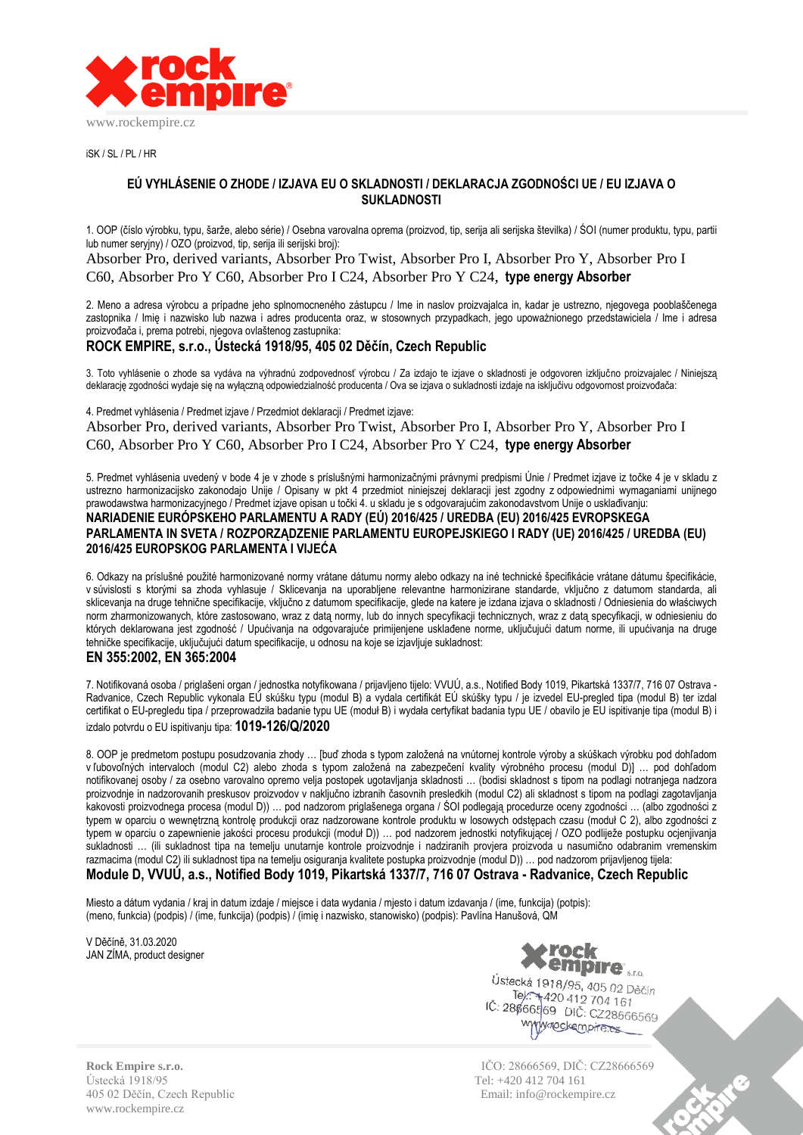

iSK / SL / PL / HR

## **EÚ VYHLÁSENIE O ZHODE / IZJAVA EU O SKLADNOSTI / DEKLARACJA ZGODNOŚCI UE / EU IZJAVA O SUKLADNOSTI**

1. OOP (číslo výrobku, typu, šarže, alebo série) / Osebna varovalna oprema (proizvod, tip, serija ali serijska številka) / ŚOI (numer produktu, typu, partii lub numer seryjny) / OZO (proizvod, tip, serija ili serijski broj):

Absorber Pro, derived variants, Absorber Pro Twist, Absorber Pro I, Absorber Pro Y, Absorber Pro I C60, Absorber Pro Y C60, Absorber Pro I C24, Absorber Pro Y C24, **type energy Absorber**

2. Meno a adresa výrobcu a prípadne jeho splnomocneného zástupcu / Ime in naslov proizvajalca in, kadar je ustrezno, njegovega pooblaščenega zastopnika / Imię i nazwisko lub nazwa i adres producenta oraz, w stosownych przypadkach, jego upoważnionego przedstawiciela / Ime i adresa proizvođača i, prema potrebi, njegova ovlaštenog zastupnika:

## **ROCK EMPIRE, s.r.o., Ústecká 1918/95, 405 02 Děčín, Czech Republic**

3. Toto vyhlásenie o zhode sa vydáva na výhradnú zodpovednosť výrobcu / Za izdajo te izjave o skladnosti je odgovoren izključno proizvajalec / Niniejszą deklarację zgodności wydaje się na wyłączną odpowiedzialność producenta / Ova se izjava o sukladnosti izdaje na isključivu odgovornost proizvođača:

4. Predmet vyhlásenia / Predmet izjave / Przedmiot deklaracji / Predmet izjave:

Absorber Pro, derived variants, Absorber Pro Twist, Absorber Pro I, Absorber Pro Y, Absorber Pro I C60, Absorber Pro Y C60, Absorber Pro I C24, Absorber Pro Y C24, **type energy Absorber**

5. Predmet vyhlásenia uvedený v bode 4 je v zhode s príslušnými harmonizačnými právnymi predpismi Únie / Predmet izjave iz točke 4 je v skladu z ustrezno harmonizacijsko zakonodajo Unije / Opisany w pkt 4 przedmiot niniejszej deklaracji jest zgodny z odpowiednimi wymaganiami unijnego prawodawstwa harmonizacyjnego / Predmet izjave opisan u točki 4. u skladu je s odgovarajućim zakonodavstvom Unije o usklađivanju: **NARIADENIE EURÓPSKEHO PARLAMENTU A RADY (EÚ) 2016/425 / UREDBA (EU) 2016/425 EVROPSKEGA PARLAMENTA IN SVETA / ROZPORZĄDZENIE PARLAMENTU EUROPEJSKIEGO I RADY (UE) 2016/425 / UREDBA (EU) 2016/425 EUROPSKOG PARLAMENTA I VIJEĆA**

6. Odkazy na príslušné použité harmonizované normy vrátane dátumu normy alebo odkazy na iné technické špecifikácie vrátane dátumu špecifikácie, v súvislosti s ktorými sa zhoda vyhlasuje / Sklicevanja na uporabljene relevantne harmonizirane standarde, vključno z datumom standarda, ali sklicevanja na druge tehnične specifikacije, vključno z datumom specifikacije, glede na katere je izdana izjava o skladnosti / Odniesienia do właściwych norm zharmonizowanych, które zastosowano, wraz z datą normy, lub do innych specyfikacji technicznych, wraz z datą specyfikacji, w odniesieniu do których deklarowana jest zgodność / Upućivania na odgovarajuće primijenjene usklađene norme, uključujući datum norme, ili upućivanja na druge tehničke specifikacije, uključujući datum specifikacije, u odnosu na koje se izjavljuje sukladnost:

## **EN 355:2002, EN 365:2004**

7. Notifikovaná osoba / priglašeni organ / jednostka notyfikowana / prijavljeno tijelo: VVUÚ, a.s., Notified Body 1019, Pikartská 1337/7, 716 07 Ostrava - Radvanice, Czech Republic vykonala EÚ skúšku typu (modul B) a vydala certifikát EÚ skúšky typu / je izvedel EU-pregled tipa (modul B) ter izdal certifikat o EU-pregledu tipa / przeprowadziła badanie typu UE (moduł B) i wydała certyfikat badania typu UE / obavilo je EU ispitivanje tipa (modul B) i izdalo potvrdu o EU ispitivanju tipa: **1019-126/Q/2020**

8. OOP je predmetom postupu posudzovania zhody … [buď zhoda s typom založená na vnútornej kontrole výroby a skúškach výrobku pod dohľadom v ľubovoľných intervaloch (modul C2) alebo zhoda s typom založená na zabezpečení kvality výrobného procesu (modul D)] … pod dohľadom notifikovanej osoby / za osebno varovalno opremo velja postopek ugotavljanja skladnosti … (bodisi skladnost s tipom na podlagi notranjega nadzora proizvodnje in nadzorovanih preskusov proizvodov v naključno izbranih časovnih presledkih (modul C2) ali skladnost s tipom na podlagi zagotavljanja kakovosti proizvodnega procesa (modul D)) … pod nadzorom priglašenega organa / ŚOI podlegają procedurze oceny zgodności … (albo zgodności z typem w oparciu o wewnętrzną kontrolę produkcji oraz nadzorowane kontrole produktu w losowych odstępach czasu (moduł C 2), albo zgodności z typem w oparciu o zapewnienie jakości procesu produkcji (moduł D)) … pod nadzorem jednostki notyfikującej / OZO podliježe postupku ocjenjivanja sukladnosti … (ili sukladnost tipa na temelju unutarnje kontrole proizvodnje i nadziranih provjera proizvoda u nasumično odabranim vremenskim razmacima (modul C2) ili sukladnost tipa na temelju osiguranja kvalitete postupka proizvodnje (modul D)) … pod nadzorom prijavljenog tijela: **Module D, VVUÚ, a.s., Notified Body 1019, Pikartská 1337/7, 716 07 Ostrava - Radvanice, Czech Republic**

Miesto a dátum vydania / kraj in datum izdaje / miejsce i data wydania / mjesto i datum izdavanja / (ime, funkcija) (potpis): (meno, funkcia) (podpis) / (ime, funkcija) (podpis) / (imię i nazwisko, stanowisko) (podpis): Pavlína Hanušová, QM

V Děčíně, 31.03.2020 JAN ZÍMA, product designer



Ústecká 1918/95, 405 02 Děčín Tel: 1910/95, 405 02 D<br>Tel: 1420 412 704 161 IČ: 28666569 DIČ: CZ28666569 www.nockempire.ex

Ústecká 1918/95 Tel: +420 412 704 161 405 02 Děčín, Czech Republic Email: info@rockempire.cz www.rockempire.cz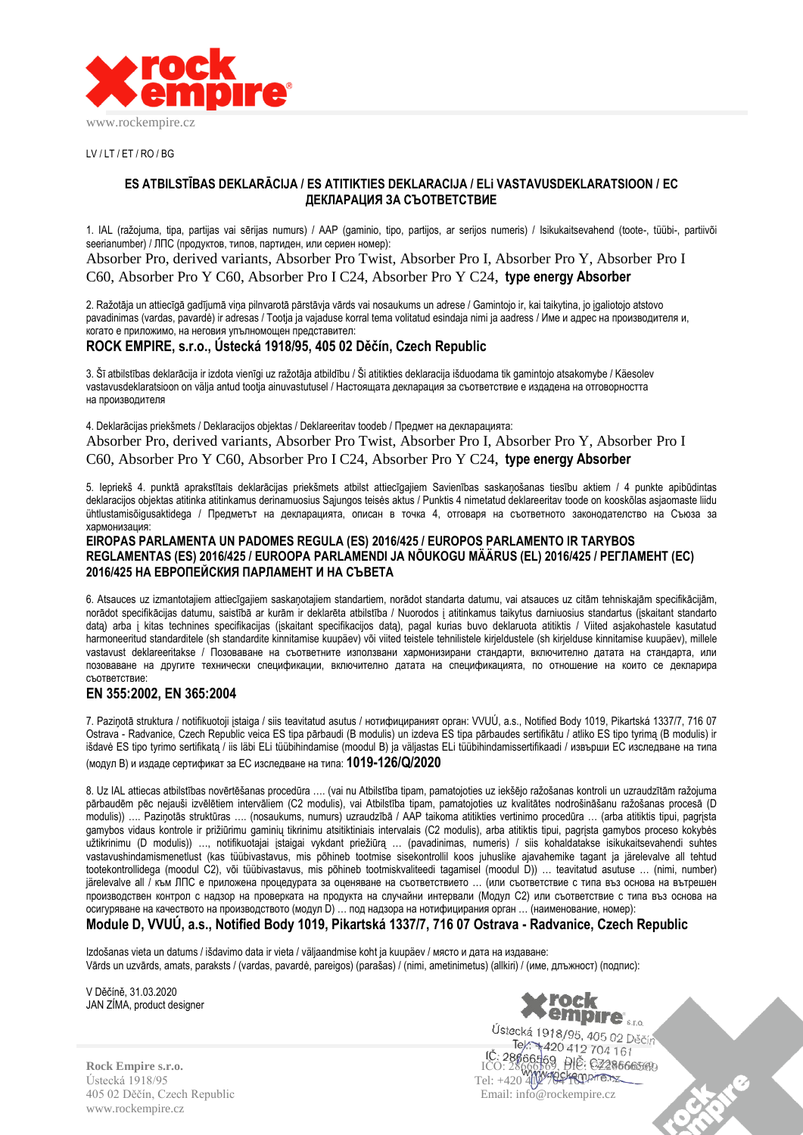

 $UV/IT/FT/RO/RG$ 

## **ES ATBILSTĪBAS DEKLARĀCIJA / ES ATITIKTIES DEKLARACIJA / ELi VASTAVUSDEKLARATSIOON / ЕС ДЕКЛАРАЦИЯ ЗА СЪОТВЕТСТВИЕ**

1. IAL (ražojuma, tipa, partijas vai sērijas numurs) / AAP (gaminio, tipo, partijos, ar serijos numeris) / Isikukaitsevahend (toote-, tüübi-, partiivõi seerianumber) / ЛПС (продуктов, типов, партиден, или сериен номер):

Absorber Pro, derived variants, Absorber Pro Twist, Absorber Pro I, Absorber Pro Y, Absorber Pro I C60, Absorber Pro Y C60, Absorber Pro I C24, Absorber Pro Y C24, **type energy Absorber**

2. Ražotāja un attiecīgā gadījumā viņa pilnvarotā pārstāvja vārds vai nosaukums un adrese / Gamintojo ir, kai taikytina, jo įgaliotojo atstovo pavadinimas (vardas, pavardė) ir adresas / Tootja ja vajaduse korral tema volitatud esindaja nimi ja aadress / Име и адрес на производителя и, когато е приложимо, на неговия упълномощен представител:

## **ROCK EMPIRE, s.r.o., Ústecká 1918/95, 405 02 Děčín, Czech Republic**

3. Šī atbilstības deklarācija ir izdota vienīgi uz ražotāja atbildību / Ši atitikties deklaracija išduodama tik gamintojo atsakomybe / Käesolev vastavusdeklaratsioon on välja antud tootja ainuvastutusel / Настоящата декларация за съответствие е издадена на отговорността на производителя

4. Deklarācijas priekšmets / Deklaracijos objektas / Deklareeritav toodeb / Предмет на декларацията: Absorber Pro, derived variants, Absorber Pro Twist, Absorber Pro I, Absorber Pro Y, Absorber Pro I C60, Absorber Pro Y C60, Absorber Pro I C24, Absorber Pro Y C24, **type energy Absorber**

5. Iepriekš 4. punktā aprakstītais deklarācijas priekšmets atbilst attiecīgajiem Savienības saskaņošanas tiesību aktiem / 4 punkte apibūdintas deklaracijos objektas atitinka atitinkamus derinamuosius Sajungos teisės aktus / Punktis 4 nimetatud deklareeritav toode on kooskõlas asjaomaste liidu ühtlustamisõigusaktidega / Предметът на декларацията, описан в точка 4, отговаря на съответното законодателство на Съюза за хармонизация:

#### **EIROPAS PARLAMENTA UN PADOMES REGULA (ES) 2016/425 / EUROPOS PARLAMENTO IR TARYBOS REGLAMENTAS (ES) 2016/425 / EUROOPA PARLAMENDI JA NÕUKOGU MÄÄRUS (EL) 2016/425 / РЕГЛАМЕНТ (ЕС) 2016/425 НА ЕВРОПЕЙСКИЯ ПАРЛАМЕНТ И НА СЪВЕТА**

6. Atsauces uz izmantotajiem attiecīgajiem saskaņotajiem standartiem, norādot standarta datumu, vai atsauces uz citām tehniskajām specifikācijām, norādot specifikācijas datumu, saistībā ar kurām ir deklarēta atbilstība / Nuorodos į atitinkamus taikytus darniuosius standartus (įskaitant standarto datą) arba į kitas technines specifikacijas (įskaitant specifikacijos datą), pagal kurias buvo deklaruota atitiktis / Viited asjakohastele kasutatud harmoneeritud standarditele (sh standardite kinnitamise kuupäev) või viited teistele tehnilistele kirjeldustele (sh kirjelduse kinnitamise kuupäev), millele vastavust deklareeritakse / Позоваване на съответните използвани хармонизирани стандарти, включително датата на стандарта, или позоваване на другите технически спецификации, включително датата на спецификацията, по отношение на които се декларира съответствие:

## **EN 355:2002, EN 365:2004**

7. Paziņotā struktura / notifikuotoji įstaiga / siis teavitatud asutus / нотифицираният орган: VVUÚ, a.s., Notified Body 1019, Pikartská 1337/7, 716 07 Ostrava - Radvanice, Czech Republic veica ES tipa pārbaudi (B modulis) un izdeva ES tipa pārbaudes sertifikātu / atliko ES tipo tyrimą (B modulis) ir išdavė ES tipo tyrimo sertifikatą / iis läbi ELi tüübihindamise (moodul B) ja väljastas ELi tüübihindamissertifikaadi / извърши ЕС изследване на типа (модул B) и издаде сертификат за ЕС изследване на типа: **1019-126/Q/2020**

8. Uz IAL attiecas atbilstības novērtēšanas procedūra …. (vai nu Atbilstība tipam, pamatojoties uz iekšējo ražošanas kontroli un uzraudzītām ražojuma pārbaudēm pēc nejauši izvēlētiem intervāliem (C2 modulis), vai Atbilstība tipam, pamatojoties uz kvalitātes nodrošināšanu ražošanas procesā (D modulis)) …. Paziņotās struktūras …. (nosaukums, numurs) uzraudzībā / AAP taikoma atitikties vertinimo procedūra … (arba atitiktis tipui, pagrįsta gamybos vidaus kontrole ir prižiūrimu gaminių tikrinimu atsitiktiniais intervalais (C2 modulis), arba atitiktis tipui, pagrįsta gamybos proceso kokybės užtikrinimu (D modulis)) …, notifikuotajai įstaigai vykdant priežiūrą … (pavadinimas, numeris) / siis kohaldatakse isikukaitsevahendi suhtes vastavushindamismenetlust (kas tüübivastavus, mis põhineb tootmise sisekontrollil koos juhuslike ajavahemike tagant ja järelevalve all tehtud tootekontrollidega (moodul C2), või tüübivastavus, mis põhineb tootmiskvaliteedi tagamisel (moodul D)) … teavitatud asutuse … (nimi, number) järelevalve all / към ЛПС е приложена процедурата за оценяване на съответствието … (или съответствие с типа въз основа на вътрешен производствен контрол с надзор на проверката на продукта на случайни интервали (Модул C2) или съответствие с типа въз основа на осигуряване на качеството на производството (модул D) … под надзора на нотифицирания орган … (наименование, номер):

## **Module D, VVUÚ, a.s., Notified Body 1019, Pikartská 1337/7, 716 07 Ostrava - Radvanice, Czech Republic**

Izdošanas vieta un datums / išdavimo data ir vieta / väljaandmise koht ja kuupäev / място и дата на издаване: Vārds un uzvārds, amats, paraksts / (vardas, pavardė, pareigos) (parašas) / (nimi, ametinimetus) (allkiri) / (име, длъжност) (подпис):

V Děčíně, 31.03.2020 JAN ZÍMA, product designer



Ústecká 1918/95 Tel: +420 412 704 161 405 02 Děčín, Czech Republic Email: info@rockempire.cz www.rockempire.cz

Ústecká 1918/95, 405 02 Děčín Sena 1916/95, 405 02 D<br>Tel: +420 412 704 161 **Rock Empire s.r.o.** IČO: 28666569, DIČ: CZ28666569